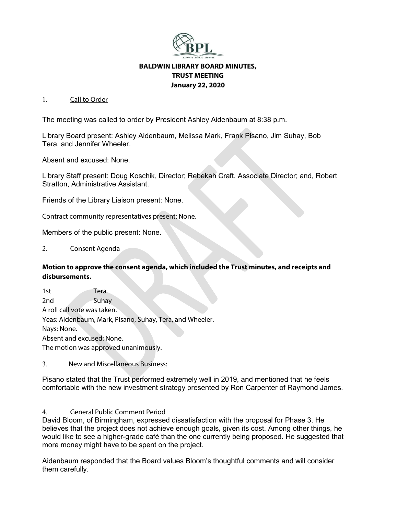

# **BALDWIN LIBRARY BOARD MINUTES, TRUST MEETING January 22, 2020**

## 1. Call to Order

The meeting was called to order by President Ashley Aidenbaum at 8:38 p.m.

Library Board present: Ashley Aidenbaum, Melissa Mark, Frank Pisano, Jim Suhay, Bob Tera, and Jennifer Wheeler.

Absent and excused: None.

Library Staff present: Doug Koschik, Director; Rebekah Craft, Associate Director; and, Robert Stratton, Administrative Assistant.

Friends of the Library Liaison present: None.

Contract community representatives present: None.

Members of the public present: None.

### 2. Consent Agenda

## **Motion to approve the consent agenda, which included the Trust minutes, and receipts and disbursements.**

1st Tera 2nd Suhay A roll call vote was taken. Yeas: Aidenbaum, Mark, Pisano, Suhay, Tera, and Wheeler. Nays: None. Absent and excused: None. The motion was approved unanimously.

## 3. New and Miscellaneous Business:

Pisano stated that the Trust performed extremely well in 2019, and mentioned that he feels comfortable with the new investment strategy presented by Ron Carpenter of Raymond James.

## 4. General Public Comment Period

David Bloom, of Birmingham, expressed dissatisfaction with the proposal for Phase 3. He believes that the project does not achieve enough goals, given its cost. Among other things, he would like to see a higher-grade café than the one currently being proposed. He suggested that more money might have to be spent on the project.

Aidenbaum responded that the Board values Bloom's thoughtful comments and will consider them carefully.